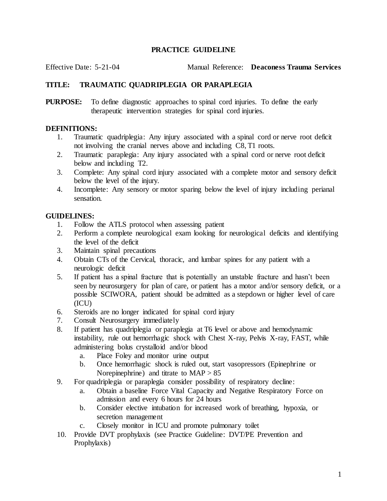## **PRACTICE GUIDELINE**

Effective Date: 5-21-04 Manual Reference: **Deaconess Trauma Services**

## **TITLE: TRAUMATIC QUADRIPLEGIA OR PARAPLEGIA**

**PURPOSE:** To define diagnostic approaches to spinal cord injuries. To define the early therapeutic intervention strategies for spinal cord injuries.

## **DEFINITIONS:**

- 1. Traumatic quadriplegia: Any injury associated with a spinal cord or nerve root deficit not involving the cranial nerves above and including C8, T1 roots.
- 2. Traumatic paraplegia: Any injury associated with a spinal cord or nerve root deficit below and including T2.
- 3. Complete: Any spinal cord injury associated with a complete motor and sensory deficit below the level of the injury.
- 4. Incomplete: Any sensory or motor sparing below the level of injury including perianal sensation.

## **GUIDELINES:**

- 1. Follow the ATLS protocol when assessing patient
- 2. Perform a complete neurological exam looking for neurological deficits and identifying the level of the deficit
- 3. Maintain spinal precautions
- 4. Obtain CTs of the Cervical, thoracic, and lumbar spines for any patient with a neurologic deficit
- 5. If patient has a spinal fracture that is potentially an unstable fracture and hasn't been seen by neurosurgery for plan of care, or patient has a motor and/or sensory deficit, or a possible SCIWORA, patient should be admitted as a stepdown or higher level of care (ICU)
- 6. Steroids are no longer indicated for spinal cord injury
- 7. Consult Neurosurgery immediately
- 8. If patient has quadriplegia or paraplegia at T6 level or above and hemodynamic instability, rule out hemorrhagic shock with Chest X-ray, Pelvis X-ray, FAST, while administering bolus crystalloid and/or blood
	- a. Place Foley and monitor urine output
	- b. Once hemorrhagic shock is ruled out, start vasopressors (Epinephrine or Norepinephrine) and titrate to  $MAP > 85$
- 9. For quadriplegia or paraplegia consider possibility of respiratory decline:
	- a. Obtain a baseline Force Vital Capacity and Negative Respiratory Force on admission and every 6 hours for 24 hours
	- b. Consider elective intubation for increased work of breathing, hypoxia, or secretion management
	- c. Closely monitor in ICU and promote pulmonary toilet
- 10. Provide DVT prophylaxis (see Practice Guideline: DVT/PE Prevention and Prophylaxis)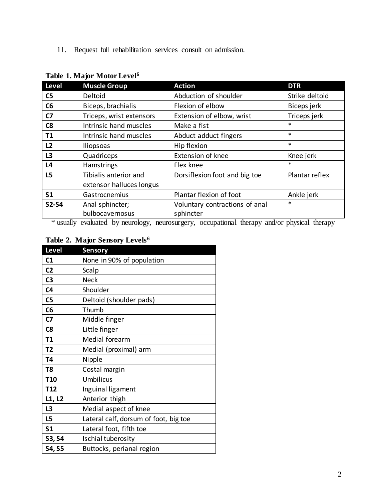11. Request full rehabilitation services consult on admission.

| <b>Level</b>   | <b>Muscle Group</b>      | <b>Action</b>                  | <b>DTR</b>     |
|----------------|--------------------------|--------------------------------|----------------|
| C <sub>5</sub> | Deltoid                  | Abduction of shoulder          | Strike deltoid |
| C6             | Biceps, brachialis       | Flexion of elbow               | Biceps jerk    |
| C <sub>7</sub> | Triceps, wrist extensors | Extension of elbow, wrist      | Triceps jerk   |
| C <sub>8</sub> | Intrinsic hand muscles   | Make a fist                    | $\ast$         |
| T1             | Intrinsic hand muscles   | Abduct adduct fingers          | $\ast$         |
| L2             | <b>Iliopsoas</b>         | Hip flexion                    | $\ast$         |
| L <sub>3</sub> | Quadriceps               | <b>Extension of knee</b>       | Knee jerk      |
| L <sub>4</sub> | Hamstrings               | Flex knee                      | *              |
| L5             | Tibialis anterior and    | Dorsiflexion foot and big toe  | Plantar reflex |
|                | extensor halluces longus |                                |                |
| <b>S1</b>      | Gastrocnemius            | Plantar flexion of foot        | Ankle jerk     |
| <b>S2-S4</b>   | Anal sphincter;          | Voluntary contractions of anal | *              |
|                | bulbocavernosus          | sphincter                      |                |

# **Table 1. Major Motor Level<sup>6</sup>**

\* usually evaluated by neurology, neurosurgery, occupational therapy and/or physical therapy

# **Table 2. Major Sensory Levels<sup>6</sup>**

| Level           | <b>Sensory</b>                        |
|-----------------|---------------------------------------|
| C1              | None in 90% of population             |
| C <sub>2</sub>  | Scalp                                 |
| C <sub>3</sub>  | <b>Neck</b>                           |
| C <sub>4</sub>  | Shoulder                              |
| C <sub>5</sub>  | Deltoid (shoulder pads)               |
| C6              | Thumb                                 |
| C7              | Middle finger                         |
| C8              | Little finger                         |
| T1              | Medial forearm                        |
| T2              | Medial (proximal) arm                 |
| T4              | Nipple                                |
| T8              | Costal margin                         |
| T <sub>10</sub> | <b>Umbilicus</b>                      |
| T <sub>12</sub> | Inguinal ligament                     |
| L1, L2          | Anterior thigh                        |
| L3              | Medial aspect of knee                 |
| L5              | Lateral calf, dorsum of foot, big toe |
| S <sub>1</sub>  | Lateral foot, fifth toe               |
| S3, S4          | Ischial tuberosity                    |
| <b>S4, S5</b>   | Buttocks, perianal region             |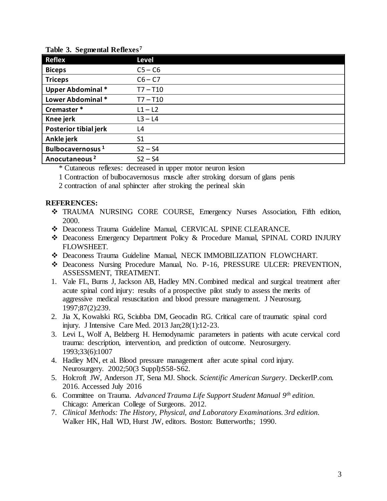| Tubic 9: Deglirium Reneaes   |                |  |  |  |
|------------------------------|----------------|--|--|--|
| <b>Reflex</b>                | <b>Level</b>   |  |  |  |
| <b>Biceps</b>                | $C5 - C6$      |  |  |  |
| <b>Triceps</b>               | $C6 - C7$      |  |  |  |
| <b>Upper Abdominal *</b>     | $T7 - T10$     |  |  |  |
| Lower Abdominal *            | $T7 - T10$     |  |  |  |
| Cremaster*                   | $L1 - L2$      |  |  |  |
| Knee jerk                    | $L3 - L4$      |  |  |  |
| Posterior tibial jerk        | L4             |  |  |  |
| Ankle jerk                   | S <sub>1</sub> |  |  |  |
| Bulbocavernosus <sup>1</sup> | $S2 - S4$      |  |  |  |
| Anocutaneous <sup>2</sup>    | $S2 - S4$      |  |  |  |

### **Table 3. Segmental Reflexes<sup>7</sup>**

\* Cutaneous reflexes: decreased in upper motor neuron lesion

- 1 Contraction of bulbocavernosus muscle after stroking dorsum of glans penis
- 2 contraction of anal sphincter after stroking the perineal skin

### **REFERENCES:**

- TRAUMA NURSING CORE COURSE, Emergency Nurses Association, Fifth edition, 2000.
- Deaconess Trauma Guideline Manual, CERVICAL SPINE CLEARANCE.
- Deaconess Emergency Department Policy & Procedure Manual, SPINAL CORD INJURY FLOWSHEET.
- Deaconess Trauma Guideline Manual, NECK IMMOBILIZATION FLOWCHART.
- Deaconess Nursing Procedure Manual, No. P-16, PRESSURE ULCER: PREVENTION, ASSESSMENT, TREATMENT.
- 1. Vale FL, Burns J, Jackson AB, Hadley MN. Combined medical and surgical treatment after acute spinal cord injury: results of a prospective pilot study to assess the merits of aggressive medical resuscitation and blood pressure management. J Neurosurg. 1997;87(2):239.
- 2. Jia X, Kowalski RG, Sciubba DM, Geocadin RG. Critical care of traumatic spinal cord injury. J Intensive Care Med. 2013 Jan;28(1):12-23.
- 3. Levi L, Wolf A, Belzberg H. Hemodynamic parameters in patients with acute cervical cord trauma: description, intervention, and prediction of outcome. Neurosurgery. 1993;33(6):1007
- 4. Hadley MN, et al. Blood pressure management after acute spinal cord injury. Neurosurgery. 2002;50(3 Suppl):S58-S62.
- 5. Holcroft JW, Anderson JT, Sena MJ. Shock. *Scientific American Surgery*. DeckerIP.com. 2016. Accessed July 2016
- 6. Committee on Trauma*. Advanced Trauma Life Support Student Manual 9th edition.*  Chicago: American College of Surgeons. 2012.
- 7. *Clinical Methods: The History, Physical, and Laboratory Examinations. 3rd edition.* Walker HK, Hall WD, Hurst JW, editors. Boston: [Butterworths;](http://www.elsevierdirect.com/imprint.jsp?iid=30) 1990.